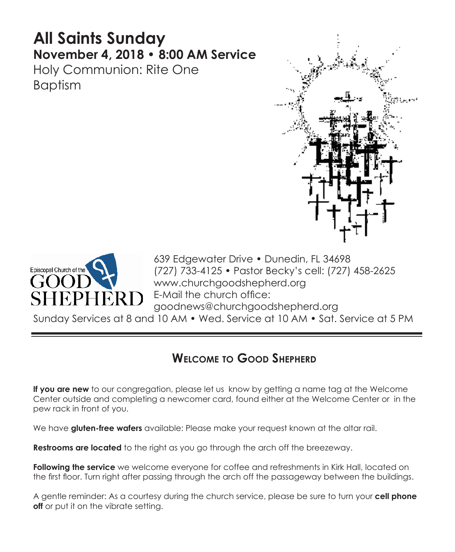# **All Saints Sunday November 4, 2018 • 8:00 AM Service**

Holy Communion: Rite One Baptism





639 Edgewater Drive • Dunedin, FL 34698 (727) 733-4125 • Pastor Becky's cell: (727) 458-2625 www.churchgoodshepherd.org E-Mail the church office: goodnews@churchgoodshepherd.org

Sunday Services at 8 and 10 AM • Wed. Service at 10 AM • Sat. Service at 5 PM

# **Welcome to Good Shepherd**

**If you are new** to our congregation, please let us know by getting a name tag at the Welcome Center outside and completing a newcomer card, found either at the Welcome Center or in the pew rack in front of you.

We have **gluten-free wafers** available: Please make your request known at the altar rail.

**Restrooms are located** to the right as you go through the arch off the breezeway.

**Following the service** we welcome everyone for coffee and refreshments in Kirk Hall, located on the first floor. Turn right after passing through the arch off the passageway between the buildings.

A gentle reminder: As a courtesy during the church service, please be sure to turn your **cell phone off** or put it on the vibrate setting.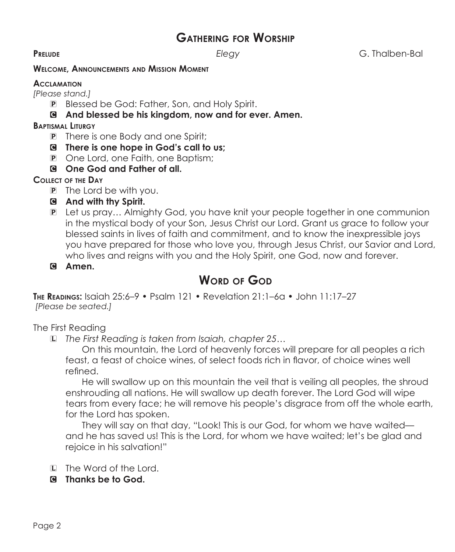# **Gathering for Worship**

**Prelude** *Elegy* G. Thalben-Bal

#### **Welcome, Announcements and Mission Moment**

#### **Acclamation**

*[Please stand.]* 

- P Blessed be God: Father, Son, and Holy Spirit.
- C **And blessed be his kingdom, now and for ever. Amen.**

### **Baptismal Liturgy**

- P There is one Body and one Spirit;
- C **There is one hope in God's call to us;**
- P One Lord, one Faith, one Baptism;
- C **One God and Father of all.**

### **Collect of the Day**

- P The Lord be with you.
- C **And with thy Spirit.**
- P Let us pray… Almighty God, you have knit your people together in one communion in the mystical body of your Son, Jesus Christ our Lord. Grant us grace to follow your blessed saints in lives of faith and commitment, and to know the inexpressible joys you have prepared for those who love you, through Jesus Christ, our Savior and Lord, who lives and reigns with you and the Holy Spirit, one God, now and forever.
- C **Amen.**

# **WORD OF GOD**

**The Readings:** Isaiah 25:6–9 • Psalm 121 • Revelation 21:1–6a • John 11:17–27 *[Please be seated.]*

The First Reading

L *The First Reading is taken from Isaiah, chapter 25…*

 On this mountain, the Lord of heavenly forces will prepare for all peoples a rich feast, a feast of choice wines, of select foods rich in flavor, of choice wines well refined.

 He will swallow up on this mountain the veil that is veiling all peoples, the shroud enshrouding all nations. He will swallow up death forever. The Lord God will wipe tears from every face; he will remove his people's disgrace from off the whole earth, for the Lord has spoken.

They will say on that day, "Look! This is our God, for whom we have waited and he has saved us! This is the Lord, for whom we have waited; let's be glad and rejoice in his salvation!"

- L The Word of the Lord.
- C **Thanks be to God.**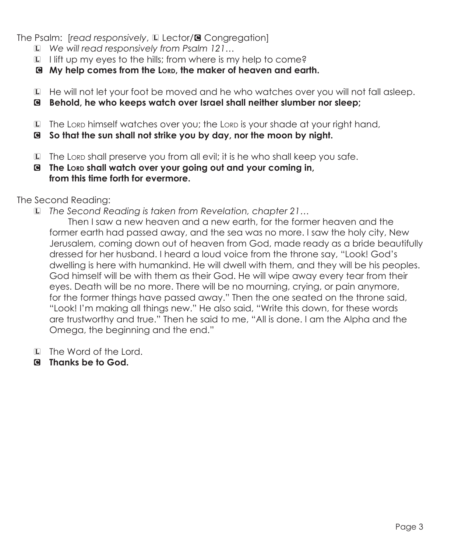The Psalm: [*read responsively*, **L** Lector/**@** Congregation]

- L *We will read responsively from Psalm 121…*
- L I lift up my eyes to the hills; from where is my help to come?
- C **My help comes from the Lord, the maker of heaven and earth.**
- L He will not let your foot be moved and he who watches over you will not fall asleep.
- C **Behold, he who keeps watch over Israel shall neither slumber nor sleep;**
- L The Lord himself watches over you; the Lord is your shade at your right hand,
- C **So that the sun shall not strike you by day, nor the moon by night.**
- $\Box$  The Lord shall preserve you from all evil; it is he who shall keep you safe.
- C **The Lord shall watch over your going out and your coming in, from this time forth for evermore.**

The Second Reading:

L *The Second Reading is taken from Revelation, chapter 21…*

 Then I saw a new heaven and a new earth, for the former heaven and the former earth had passed away, and the sea was no more. I saw the holy city, New Jerusalem, coming down out of heaven from God, made ready as a bride beautifully dressed for her husband. I heard a loud voice from the throne say, "Look! God's dwelling is here with humankind. He will dwell with them, and they will be his peoples. God himself will be with them as their God. He will wipe away every tear from their eyes. Death will be no more. There will be no mourning, crying, or pain anymore, for the former things have passed away." Then the one seated on the throne said, "Look! I'm making all things new." He also said, "Write this down, for these words are trustworthy and true." Then he said to me, "All is done. I am the Alpha and the Omega, the beginning and the end."

- L The Word of the Lord.
- C **Thanks be to God.**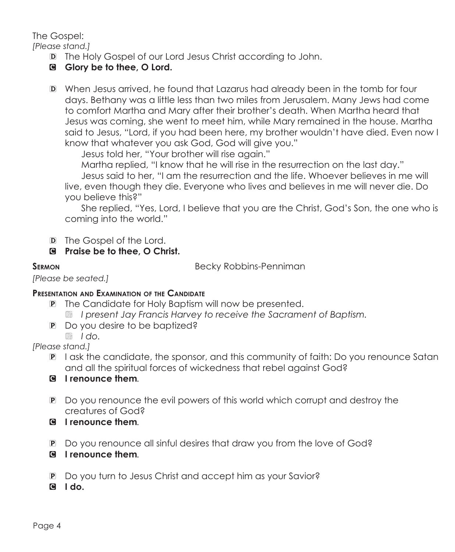The Gospel: *[Please stand.]*

D The Holy Gospel of our Lord Jesus Christ according to John.

## G Glory be to thee, O Lord.

D When Jesus arrived, he found that Lazarus had already been in the tomb for four days. Bethany was a little less than two miles from Jerusalem. Many Jews had come to comfort Martha and Mary after their brother's death. When Martha heard that Jesus was coming, she went to meet him, while Mary remained in the house. Martha said to Jesus, "Lord, if you had been here, my brother wouldn't have died. Even now I know that whatever you ask God, God will give you."

Jesus told her, "Your brother will rise again."

Martha replied, "I know that he will rise in the resurrection on the last day."

Jesus said to her, "I am the resurrection and the life. Whoever believes in me will live, even though they die. Everyone who lives and believes in me will never die. Do you believe this?"

She replied, "Yes, Lord, I believe that you are the Christ, God's Son, the one who is coming into the world."

- D The Gospel of the Lord.
- C **Praise be to thee, O Christ.**

**SERMON Becky Robbins-Penniman** 

*[Please be seated.]*

#### **Presentation and Examination of the Candidate**

- P The Candidate for Holy Baptism will now be presented.
	- R *I present Jay Francis Harvey to receive the Sacrament of Baptism.*
- P Do you desire to be baptized? R *I do.*

*[Please stand.]*

- P I ask the candidate, the sponsor, and this community of faith: Do you renounce Satan and all the spiritual forces of wickedness that rebel against God?
- C **I renounce them***.*
- P Do you renounce the evil powers of this world which corrupt and destroy the creatures of God?
- C **I renounce them***.*
- P Do you renounce all sinful desires that draw you from the love of God?
- C **I renounce them***.*
- P Do you turn to Jesus Christ and accept him as your Savior?
- C **I do.**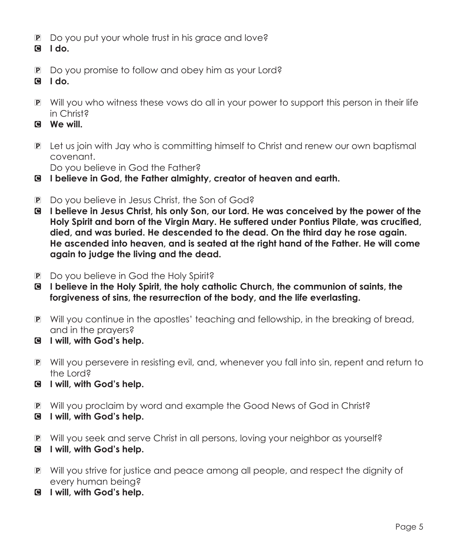- P Do you put your whole trust in his grace and love?
- C **I do.**
- P Do you promise to follow and obey him as your Lord?
- C **I do.**
- P Will you who witness these vows do all in your power to support this person in their life in Christ?
- C **We will.**
- P Let us join with Jay who is committing himself to Christ and renew our own baptismal covenant.

Do you believe in God the Father?

- C **I believe in God, the Father almighty, creator of heaven and earth.**
- P Do you believe in Jesus Christ, the Son of God?
- C **I believe in Jesus Christ, his only Son, our Lord. He was conceived by the power of the Holy Spirit and born of the Virgin Mary. He suffered under Pontius Pilate, was crucified, died, and was buried. He descended to the dead. On the third day he rose again. He ascended into heaven, and is seated at the right hand of the Father. He will come again to judge the living and the dead.**
- **P** Do you believe in God the Holy Spirit?
- C **I believe in the Holy Spirit, the holy catholic Church, the communion of saints, the forgiveness of sins, the resurrection of the body, and the life everlasting.**
- P Will you continue in the apostles' teaching and fellowship, in the breaking of bread, and in the prayers?
- C **I will, with God's help.**
- P Will you persevere in resisting evil, and, whenever you fall into sin, repent and return to the Lord?
- C **I will, with God's help.**
- P Will you proclaim by word and example the Good News of God in Christ?
- C **I will, with God's help.**
- P Will you seek and serve Christ in all persons, loving your neighbor as yourself?
- C **I will, with God's help.**
- P Will you strive for justice and peace among all people, and respect the dignity of every human being?
- C **I will, with God's help.**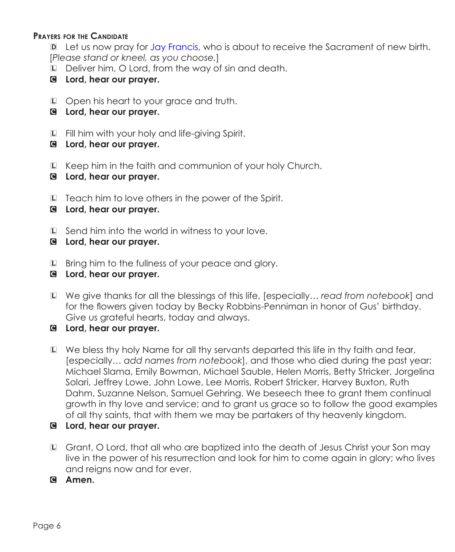#### **Prayers for the Candidate**

D Let us now pray for Jay Francis, who is about to receive the Sacrament of new birth. [*Please stand or kneel, as you choose.*]

- L Deliver him, O Lord, from the way of sin and death.
- C **Lord, hear our prayer.**
- L Open his heart to your grace and truth.
- C **Lord, hear our prayer.**
- L Fill him with your holy and life-giving Spirit.
- C **Lord, hear our prayer.**
- L Keep him in the faith and communion of your holy Church.
- C **Lord, hear our prayer.**
- L Teach him to love others in the power of the Spirit.
- C **Lord, hear our prayer.**
- L Send him into the world in witness to your love.
- C **Lord, hear our prayer.**
- L Bring him to the fullness of your peace and glory.
- C **Lord, hear our prayer.**
- L We give thanks for all the blessings of this life, [especially… *read from notebook*] and for the flowers given today by Becky Robbins-Penniman in honor of Gus' birthday. Give us grateful hearts, today and always.
- C **Lord, hear our prayer.**
- L We bless thy holy Name for all thy servants departed this life in thy faith and fear, [especially*… add names from notebook*], and those who died during the past year: Michael Slama, Emily Bowman, Michael Sauble, Helen Morris, Betty Stricker, Jorgelina Solari, Jeffrey Lowe, John Lowe, Lee Morris, Robert Stricker, Harvey Buxton, Ruth Dahm, Suzanne Nelson, Samuel Gehring. We beseech thee to grant them continual growth in thy love and service; and to grant us grace so to follow the good examples of all thy saints, that with them we may be partakers of thy heavenly kingdom.
- C **Lord, hear our prayer.**
- L Grant, O Lord, that all who are baptized into the death of Jesus Christ your Son may live in the power of his resurrection and look for him to come again in glory; who lives and reigns now and for ever.
- C **Amen.**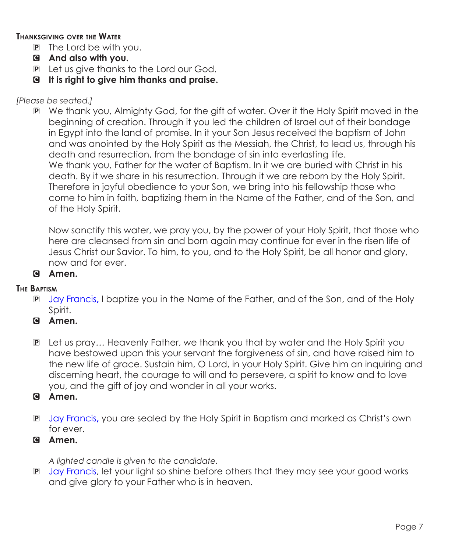#### **Thanksgiving over the Water**

- P The Lord be with you.
- C **And also with you.**
- P Let us give thanks to the Lord our God.
- C **It is right to give him thanks and praise.**

### *[Please be seated.]*

P We thank you, Almighty God, for the gift of water. Over it the Holy Spirit moved in the beginning of creation. Through it you led the children of Israel out of their bondage in Egypt into the land of promise. In it your Son Jesus received the baptism of John and was anointed by the Holy Spirit as the Messiah, the Christ, to lead us, through his death and resurrection, from the bondage of sin into everlasting life. We thank you, Father for the water of Baptism. In it we are buried with Christ in his death. By it we share in his resurrection. Through it we are reborn by the Holy Spirit. Therefore in joyful obedience to your Son, we bring into his fellowship those who come to him in faith, baptizing them in the Name of the Father, and of the Son, and of the Holy Spirit.

Now sanctify this water, we pray you, by the power of your Holy Spirit, that those who here are cleansed from sin and born again may continue for ever in the risen life of Jesus Christ our Savior. To him, to you, and to the Holy Spirit, be all honor and glory, now and for ever.

### C **Amen.**

#### **The Baptism**

- P Jay Francis**,** I baptize you in the Name of the Father, and of the Son, and of the Holy Spirit.
- C **Amen.**
- P Let us pray… Heavenly Father, we thank you that by water and the Holy Spirit you have bestowed upon this your servant the forgiveness of sin, and have raised him to the new life of grace. Sustain him, O Lord, in your Holy Spirit. Give him an inquiring and discerning heart, the courage to will and to persevere, a spirit to know and to love you, and the gift of joy and wonder in all your works.
- C **Amen.**
- P Jay Francis**,** you are sealed by the Holy Spirit in Baptism and marked as Christ's own for ever.
- C **Amen.**

 *A lighted candle is given to the candidate.* 

P Jay Francis, let your light so shine before others that they may see your good works and give glory to your Father who is in heaven.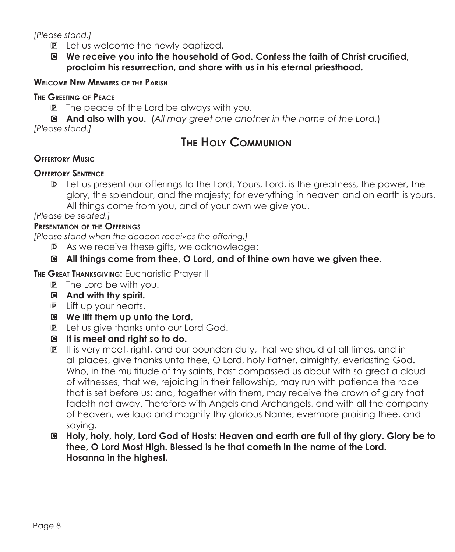*[Please stand.]*

- **P** Let us welcome the newly baptized.
- C **We receive you into the household of God. Confess the faith of Christ crucified, proclaim his resurrection, and share with us in his eternal priesthood.**

### **Welcome New Members of the Parish**

#### **The Greeting of Peace**

P The peace of the Lord be always with you.

C **And also with you.** (*All may greet one another in the name of the Lord.*) *[Please stand.]*

# **The Holy Communion**

### **Offertory Music**

#### **Offertory Sentence**

D Let us present our offerings to the Lord. Yours, Lord, is the greatness, the power, the glory, the splendour, and the majesty; for everything in heaven and on earth is yours. All things come from you, and of your own we give you.

*[Please be seated.]*

#### **Presentation of the Offerings**

*[Please stand when the deacon receives the offering.]*

- D As we receive these gifts, we acknowledge:
- C **All things come from thee, O Lord, and of thine own have we given thee.**

**THE GREAT THANKSGIVING: EUCharistic Prayer II** 

- P The Lord be with you.
- C **And with thy spirit.**
- P Lift up your hearts.
- C **We lift them up unto the Lord.**
- P Let us give thanks unto our Lord God.
- C **It is meet and right so to do.**
- P It is very meet, right, and our bounden duty, that we should at all times, and in all places, give thanks unto thee, O Lord, holy Father, almighty, everlasting God. Who, in the multitude of thy saints, hast compassed us about with so great a cloud of witnesses, that we, rejoicing in their fellowship, may run with patience the race that is set before us; and, together with them, may receive the crown of glory that fadeth not away. Therefore with Angels and Archangels, and with all the company of heaven, we laud and magnify thy glorious Name; evermore praising thee, and saying,
- C **Holy, holy, holy, Lord God of Hosts: Heaven and earth are full of thy glory. Glory be to thee, O Lord Most High. Blessed is he that cometh in the name of the Lord. Hosanna in the highest.**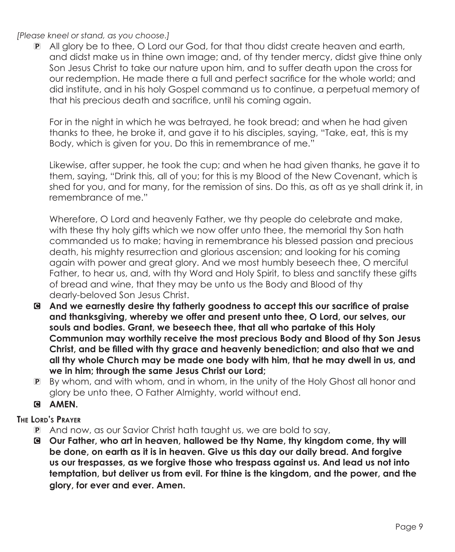*[Please kneel or stand, as you choose.]*

P All glory be to thee, O Lord our God, for that thou didst create heaven and earth, and didst make us in thine own image; and, of thy tender mercy, didst give thine only Son Jesus Christ to take our nature upon him, and to suffer death upon the cross for our redemption. He made there a full and perfect sacrifice for the whole world; and did institute, and in his holy Gospel command us to continue, a perpetual memory of that his precious death and sacrifice, until his coming again.

For in the night in which he was betrayed, he took bread; and when he had given thanks to thee, he broke it, and gave it to his disciples, saying, "Take, eat, this is my Body, which is given for you. Do this in remembrance of me."

Likewise, after supper, he took the cup; and when he had given thanks, he gave it to them, saying, "Drink this, all of you; for this is my Blood of the New Covenant, which is shed for you, and for many, for the remission of sins. Do this, as oft as ye shall drink it, in remembrance of me."

 Wherefore, O Lord and heavenly Father, we thy people do celebrate and make, with these thy holy gifts which we now offer unto thee, the memorial thy Son hath commanded us to make; having in remembrance his blessed passion and precious death, his mighty resurrection and glorious ascension; and looking for his coming again with power and great glory. And we most humbly beseech thee, O merciful Father, to hear us, and, with thy Word and Holy Spirit, to bless and sanctify these gifts of bread and wine, that they may be unto us the Body and Blood of thy dearly-beloved Son Jesus Christ.

- C **And we earnestly desire thy fatherly goodness to accept this our sacrifice of praise and thanksgiving, whereby we offer and present unto thee, O Lord, our selves, our souls and bodies. Grant, we beseech thee, that all who partake of this Holy Communion may worthily receive the most precious Body and Blood of thy Son Jesus Christ, and be filled with thy grace and heavenly benediction; and also that we and all thy whole Church may be made one body with him, that he may dwell in us, and we in him; through the same Jesus Christ our Lord;**
- P By whom, and with whom, and in whom, in the unity of the Holy Ghost all honor and glory be unto thee, O Father Almighty, world without end.
- C **AMEN.**
- **The Lord's Prayer**
	- P And now, as our Savior Christ hath taught us, we are bold to say,
	- C **Our Father, who art in heaven, hallowed be thy Name, thy kingdom come, thy will be done, on earth as it is in heaven. Give us this day our daily bread. And forgive us our trespasses, as we forgive those who trespass against us. And lead us not into temptation, but deliver us from evil. For thine is the kingdom, and the power, and the glory, for ever and ever. Amen.**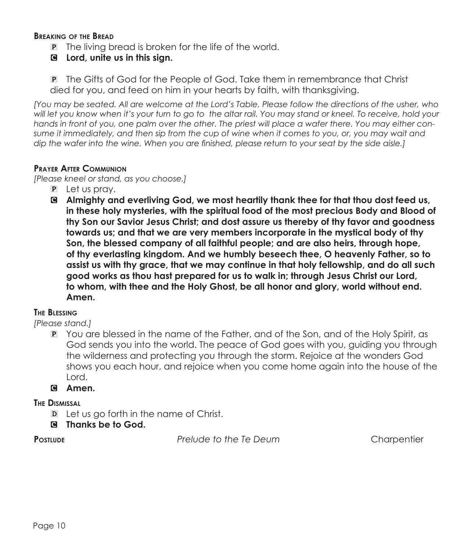#### **Breaking of the Bread**

- P The living bread is broken for the life of the world.
- C **Lord, unite us in this sign.**

P The Gifts of God for the People of God. Take them in remembrance that Christ died for you, and feed on him in your hearts by faith, with thanksgiving.

*[You may be seated. All are welcome at the Lord's Table. Please follow the directions of the usher, who*  will let you know when it's your turn to go to the altar rail. You may stand or kneel. To receive, hold your *hands in front of you, one palm over the other. The priest will place a wafer there. You may either consume it immediately, and then sip from the cup of wine when it comes to you, or, you may wait and dip the wafer into the wine. When you are finished, please return to your seat by the side aisle.]*

#### **Prayer After Communion**

*[Please kneel or stand, as you choose.]*

- P Let us pray.
- C **Almighty and everliving God, we most heartily thank thee for that thou dost feed us, in these holy mysteries, with the spiritual food of the most precious Body and Blood of thy Son our Savior Jesus Christ; and dost assure us thereby of thy favor and goodness towards us; and that we are very members incorporate in the mystical body of thy Son, the blessed company of all faithful people; and are also heirs, through hope, of thy everlasting kingdom. And we humbly beseech thee, O heavenly Father, so to assist us with thy grace, that we may continue in that holy fellowship, and do all such good works as thou hast prepared for us to walk in; through Jesus Christ our Lord, to whom, with thee and the Holy Ghost, be all honor and glory, world without end. Amen.**

#### **The Blessing**

#### *[Please stand.]*

P You are blessed in the name of the Father, and of the Son, and of the Holy Spirit, as God sends you into the world. The peace of God goes with you, guiding you through the wilderness and protecting you through the storm. Rejoice at the wonders God shows you each hour, and rejoice when you come home again into the house of the Lord.

#### C **Amen.**

#### **The Dismissal**

- D Let us go forth in the name of Christ.
- C **Thanks be to God.**

**Postlude** *Prelude to the Te Deum* Charpentier